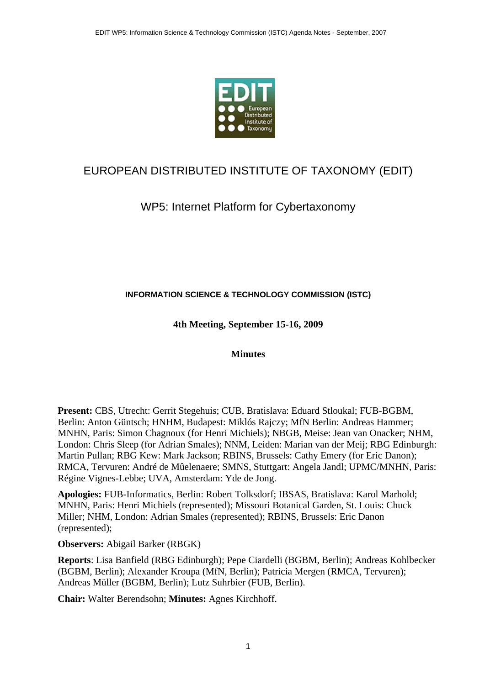

# EUROPEAN DISTRIBUTED INSTITUTE OF TAXONOMY (EDIT)

# WP5: Internet Platform for Cybertaxonomy

**INFORMATION SCIENCE & TECHNOLOGY COMMISSION (ISTC)** 

**4th Meeting, September 15-16, 2009** 

**Minutes** 

**Present:** CBS, Utrecht: Gerrit Stegehuis; CUB, Bratislava: Eduard Stloukal; FUB-BGBM, Berlin: Anton Güntsch; HNHM, Budapest: Miklós Rajczy; MfN Berlin: Andreas Hammer; MNHN, Paris: Simon Chagnoux (for Henri Michiels); NBGB, Meise: Jean van Onacker; NHM, London: Chris Sleep (for Adrian Smales); NNM, Leiden: Marian van der Meij; RBG Edinburgh: Martin Pullan; RBG Kew: Mark Jackson; RBINS, Brussels: Cathy Emery (for Eric Danon); RMCA, Tervuren: André de Mûelenaere; SMNS, Stuttgart: Angela Jandl; UPMC/MNHN, Paris: Régine Vignes-Lebbe; UVA, Amsterdam: Yde de Jong.

**Apologies:** FUB-Informatics, Berlin: Robert Tolksdorf; IBSAS, Bratislava: Karol Marhold; MNHN, Paris: Henri Michiels (represented); Missouri Botanical Garden, St. Louis: Chuck Miller; NHM, London: Adrian Smales (represented); RBINS, Brussels: Eric Danon (represented);

**Observers:** Abigail Barker (RBGK)

**Reports**: Lisa Banfield (RBG Edinburgh); Pepe Ciardelli (BGBM, Berlin); Andreas Kohlbecker (BGBM, Berlin); Alexander Kroupa (MfN, Berlin); Patricia Mergen (RMCA, Tervuren); Andreas Müller (BGBM, Berlin); Lutz Suhrbier (FUB, Berlin).

**Chair:** Walter Berendsohn; **Minutes:** Agnes Kirchhoff.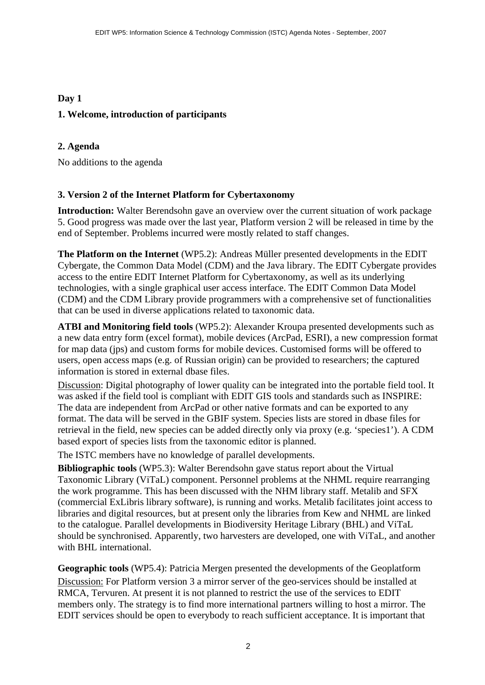### **Day 1**

### **1. Welcome, introduction of participants**

### **2. Agenda**

No additions to the agenda

### **3. Version 2 of the Internet Platform for Cybertaxonomy**

**Introduction:** Walter Berendsohn gave an overview over the current situation of work package 5. Good progress was made over the last year, Platform version 2 will be released in time by the end of September. Problems incurred were mostly related to staff changes.

**The Platform on the Internet** (WP5.2): Andreas Müller presented developments in the EDIT Cybergate, the Common Data Model (CDM) and the Java library. The EDIT Cybergate provides access to the entire EDIT Internet Platform for Cybertaxonomy, as well as its underlying technologies, with a single graphical user access interface. The EDIT Common Data Model (CDM) and the CDM Library provide programmers with a comprehensive set of functionalities that can be used in diverse applications related to taxonomic data.

**ATBI and Monitoring field tools** (WP5.2): Alexander Kroupa presented developments such as a new data entry form (excel format), mobile devices (ArcPad, ESRI), a new compression format for map data (jps) and custom forms for mobile devices. Customised forms will be offered to users, open access maps (e.g. of Russian origin) can be provided to researchers; the captured information is stored in external dbase files.

Discussion: Digital photography of lower quality can be integrated into the portable field tool. It was asked if the field tool is compliant with EDIT GIS tools and standards such as INSPIRE: The data are independent from ArcPad or other native formats and can be exported to any format. The data will be served in the GBIF system. Species lists are stored in dbase files for retrieval in the field, new species can be added directly only via proxy (e.g. 'species1'). A CDM based export of species lists from the taxonomic editor is planned.

The ISTC members have no knowledge of parallel developments.

**Bibliographic tools** (WP5.3): Walter Berendsohn gave status report about the Virtual Taxonomic Library (ViTaL) component. Personnel problems at the NHML require rearranging the work programme. This has been discussed with the NHM library staff. Metalib and SFX (commercial ExLibris library software), is running and works. Metalib facilitates joint access to libraries and digital resources, but at present only the libraries from Kew and NHML are linked to the catalogue. Parallel developments in Biodiversity Heritage Library (BHL) and ViTaL should be synchronised. Apparently, two harvesters are developed, one with ViTaL, and another with BHL international.

**Geographic tools** (WP5.4): Patricia Mergen presented the developments of the Geoplatform Discussion: For Platform version 3 a mirror server of the geo-services should be installed at RMCA, Tervuren. At present it is not planned to restrict the use of the services to EDIT members only. The strategy is to find more international partners willing to host a mirror. The EDIT services should be open to everybody to reach sufficient acceptance. It is important that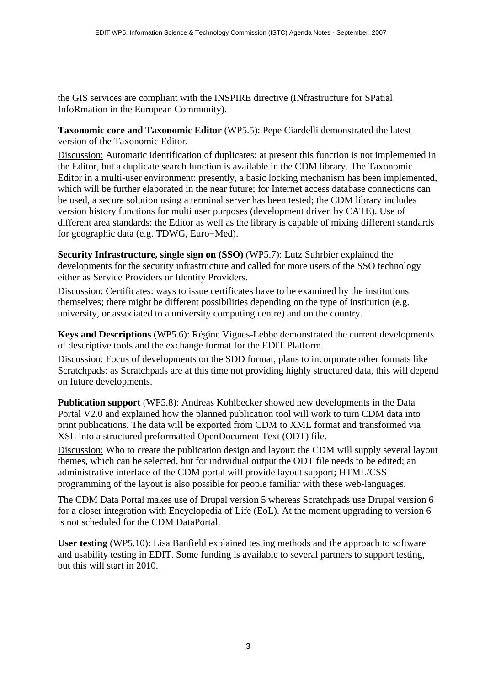the GIS services are compliant with the INSPIRE directive (INfrastructure for SPatial InfoRmation in the European Community).

**Taxonomic core and Taxonomic Editor** (WP5.5): Pepe Ciardelli demonstrated the latest version of the Taxonomic Editor.

Discussion: Automatic identification of duplicates: at present this function is not implemented in the Editor, but a duplicate search function is available in the CDM library. The Taxonomic Editor in a multi-user environment: presently, a basic locking mechanism has been implemented, which will be further elaborated in the near future; for Internet access database connections can be used, a secure solution using a terminal server has been tested; the CDM library includes version history functions for multi user purposes (development driven by CATE). Use of different area standards: the Editor as well as the library is capable of mixing different standards for geographic data (e.g. TDWG, Euro+Med).

**Security Infrastructure, single sign on (SSO)** (WP5.7): Lutz Suhrbier explained the developments for the security infrastructure and called for more users of the SSO technology either as Service Providers or Identity Providers.

Discussion: Certificates: ways to issue certificates have to be examined by the institutions themselves; there might be different possibilities depending on the type of institution (e.g. university, or associated to a university computing centre) and on the country.

**Keys and Descriptions** (WP5.6): Régine Vignes-Lebbe demonstrated the current developments of descriptive tools and the exchange format for the EDIT Platform.

Discussion: Focus of developments on the SDD format, plans to incorporate other formats like Scratchpads: as Scratchpads are at this time not providing highly structured data, this will depend on future developments.

**Publication support** (WP5.8): Andreas Kohlbecker showed new developments in the Data Portal V2.0 and explained how the planned publication tool will work to turn CDM data into print publications. The data will be exported from CDM to XML format and transformed via XSL into a structured preformatted OpenDocument Text (ODT) file.

Discussion: Who to create the publication design and layout: the CDM will supply several layout themes, which can be selected, but for individual output the ODT file needs to be edited; an administrative interface of the CDM portal will provide layout support; HTML/CSS programming of the layout is also possible for people familiar with these web-languages.

The CDM Data Portal makes use of Drupal version 5 whereas Scratchpads use Drupal version 6 for a closer integration with Encyclopedia of Life (EoL). At the moment upgrading to version 6 is not scheduled for the CDM DataPortal.

**User testing** (WP5.10): Lisa Banfield explained testing methods and the approach to software and usability testing in EDIT. Some funding is available to several partners to support testing, but this will start in 2010.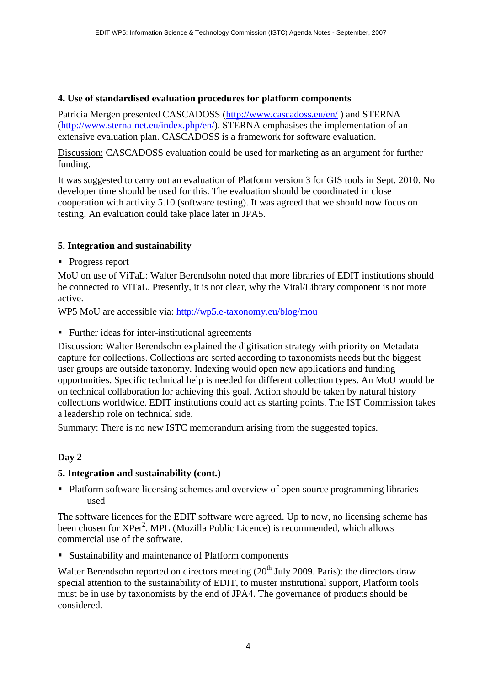#### **4. Use of standardised evaluation procedures for platform components**

Patricia Mergen presented CASCADOSS (http://www.cascadoss.eu/en/) and STERNA (<http://www.sterna-net.eu/index.php/en/>). STERNA emphasises the implementation of an extensive evaluation plan. CASCADOSS is a framework for software evaluation.

Discussion: CASCADOSS evaluation could be used for marketing as an argument for further funding.

It was suggested to carry out an evaluation of Platform version 3 for GIS tools in Sept. 2010. No developer time should be used for this. The evaluation should be coordinated in close cooperation with activity 5.10 (software testing). It was agreed that we should now focus on testing. An evaluation could take place later in JPA5.

### **5. Integration and sustainability**

• Progress report

MoU on use of ViTaL: Walter Berendsohn noted that more libraries of EDIT institutions should be connected to ViTaL. Presently, it is not clear, why the Vital/Library component is not more active.

WP5 MoU are accessible via: <http://wp5.e-taxonomy.eu/blog/mou>

**Further ideas for inter-institutional agreements** 

Discussion: Walter Berendsohn explained the digitisation strategy with priority on Metadata capture for collections. Collections are sorted according to taxonomists needs but the biggest user groups are outside taxonomy. Indexing would open new applications and funding opportunities. Specific technical help is needed for different collection types. An MoU would be on technical collaboration for achieving this goal. Action should be taken by natural history collections worldwide. EDIT institutions could act as starting points. The IST Commission takes a leadership role on technical side.

Summary: There is no new ISTC memorandum arising from the suggested topics.

### **Day 2**

### **5. Integration and sustainability (cont.)**

**Platform software licensing schemes and overview of open source programming libraries** used

The software licences for the EDIT software were agreed. Up to now, no licensing scheme has been chosen for XPer<sup>2</sup>. MPL (Mozilla Public Licence) is recommended, which allows commercial use of the software.

Sustainability and maintenance of Platform components

Walter Berendsohn reported on directors meeting  $(20<sup>th</sup>$  July 2009. Paris): the directors draw special attention to the sustainability of EDIT, to muster institutional support, Platform tools must be in use by taxonomists by the end of JPA4. The governance of products should be considered.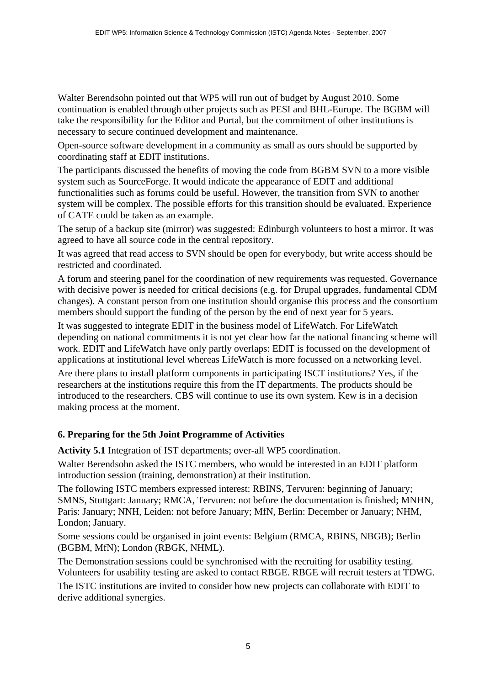Walter Berendsohn pointed out that WP5 will run out of budget by August 2010. Some continuation is enabled through other projects such as PESI and BHL-Europe. The BGBM will take the responsibility for the Editor and Portal, but the commitment of other institutions is necessary to secure continued development and maintenance.

Open-source software development in a community as small as ours should be supported by coordinating staff at EDIT institutions.

The participants discussed the benefits of moving the code from BGBM SVN to a more visible system such as SourceForge. It would indicate the appearance of EDIT and additional functionalities such as forums could be useful. However, the transition from SVN to another system will be complex. The possible efforts for this transition should be evaluated. Experience of CATE could be taken as an example.

The setup of a backup site (mirror) was suggested: Edinburgh volunteers to host a mirror. It was agreed to have all source code in the central repository.

It was agreed that read access to SVN should be open for everybody, but write access should be restricted and coordinated.

A forum and steering panel for the coordination of new requirements was requested. Governance with decisive power is needed for critical decisions (e.g. for Drupal upgrades, fundamental CDM changes). A constant person from one institution should organise this process and the consortium members should support the funding of the person by the end of next year for 5 years.

It was suggested to integrate EDIT in the business model of LifeWatch. For LifeWatch depending on national commitments it is not yet clear how far the national financing scheme will work. EDIT and LifeWatch have only partly overlaps: EDIT is focussed on the development of applications at institutional level whereas LifeWatch is more focussed on a networking level.

Are there plans to install platform components in participating ISCT institutions? Yes, if the researchers at the institutions require this from the IT departments. The products should be introduced to the researchers. CBS will continue to use its own system. Kew is in a decision making process at the moment.

### **6. Preparing for the 5th Joint Programme of Activities**

**Activity 5.1** Integration of IST departments; over-all WP5 coordination.

Walter Berendsohn asked the ISTC members, who would be interested in an EDIT platform introduction session (training, demonstration) at their institution.

The following ISTC members expressed interest: RBINS, Tervuren: beginning of January; SMNS, Stuttgart: January; RMCA, Tervuren: not before the documentation is finished; MNHN, Paris: January; NNH, Leiden: not before January; MfN, Berlin: December or January; NHM, London; January.

Some sessions could be organised in joint events: Belgium (RMCA, RBINS, NBGB); Berlin (BGBM, MfN); London (RBGK, NHML).

The Demonstration sessions could be synchronised with the recruiting for usability testing. Volunteers for usability testing are asked to contact RBGE. RBGE will recruit testers at TDWG.

The ISTC institutions are invited to consider how new projects can collaborate with EDIT to derive additional synergies.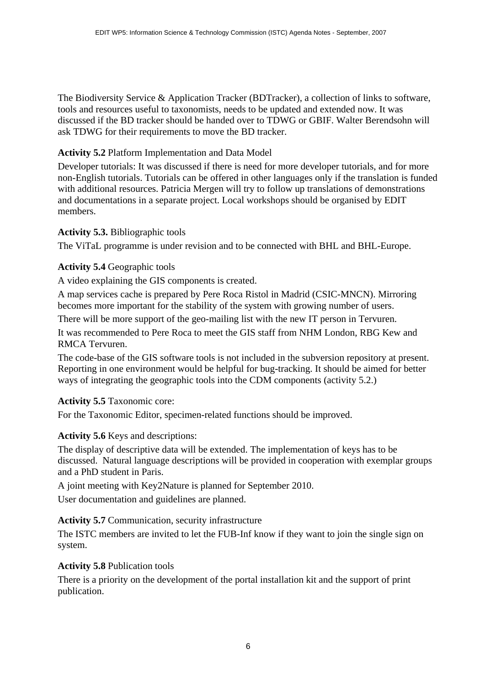The Biodiversity Service & Application Tracker (BDTracker), a collection of links to software, tools and resources useful to taxonomists, needs to be updated and extended now. It was discussed if the BD tracker should be handed over to TDWG or GBIF. Walter Berendsohn will ask TDWG for their requirements to move the BD tracker.

### **Activity 5.2** Platform Implementation and Data Model

Developer tutorials: It was discussed if there is need for more developer tutorials, and for more non-English tutorials. Tutorials can be offered in other languages only if the translation is funded with additional resources. Patricia Mergen will try to follow up translations of demonstrations and documentations in a separate project. Local workshops should be organised by EDIT members.

### **Activity 5.3.** Bibliographic tools

The ViTaL programme is under revision and to be connected with BHL and BHL-Europe.

# **Activity 5.4** Geographic tools

A video explaining the GIS components is created.

A map services cache is prepared by Pere Roca Ristol in Madrid (CSIC-MNCN). Mirroring becomes more important for the stability of the system with growing number of users.

There will be more support of the geo-mailing list with the new IT person in Tervuren.

It was recommended to Pere Roca to meet the GIS staff from NHM London, RBG Kew and RMCA Tervuren.

The code-base of the GIS software tools is not included in the subversion repository at present. Reporting in one environment would be helpful for bug-tracking. It should be aimed for better ways of integrating the geographic tools into the CDM components (activity 5.2.)

# **Activity 5.5** Taxonomic core:

For the Taxonomic Editor, specimen-related functions should be improved.

# **Activity 5.6** Keys and descriptions:

The display of descriptive data will be extended. The implementation of keys has to be discussed. Natural language descriptions will be provided in cooperation with exemplar groups and a PhD student in Paris.

A joint meeting with Key2Nature is planned for September 2010.

User documentation and guidelines are planned.

# **Activity 5.7** Communication, security infrastructure

The ISTC members are invited to let the FUB-Inf know if they want to join the single sign on system.

# **Activity 5.8** Publication tools

There is a priority on the development of the portal installation kit and the support of print publication.